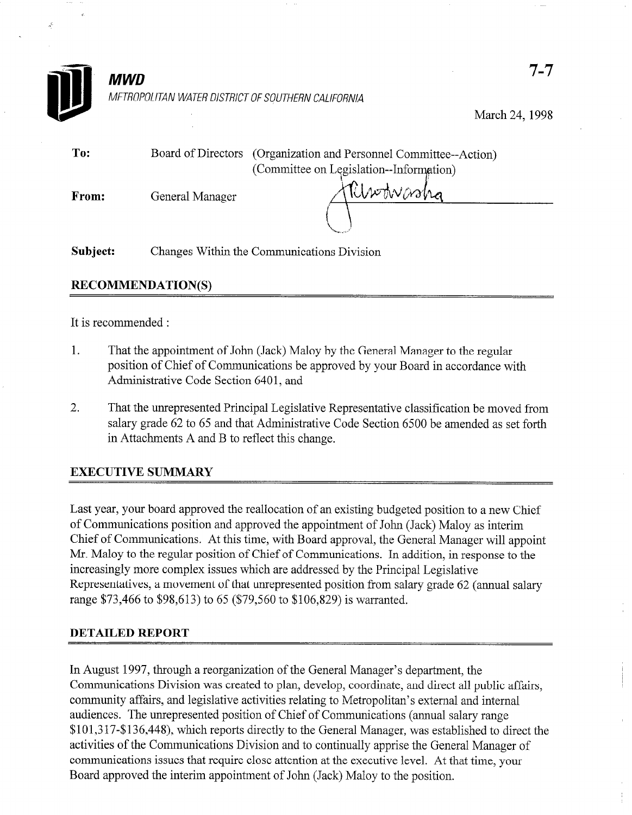

## RECOMMENDATION(S)

#### It is recommended :

- 1. That the appointment of John (Jack) Maloy by the General Manager to the regular position of Chief of Communications be approved by your Board in accordance with Administrative Code Section 6401, and
- 2. That the unrepresented Principal Legislative Representative classification be moved from salary grade 62 to 65 and that Administrative Code Section 6500 be amended as set forth in Attachments A and B to reflect this change.

### EXECUTIVE SUMMARY

Last year, your board approved the reallocation of an existing budgeted position to a new Chief of Communications position and approved the appointment of John (Jack) Maloy as interim Chief of Communications. At this time, with Board approval, the General Manager will appoint Mr. Maloy to the regular position of Chief of Communications. In addition, in response to the increasingly more complex issues which are addressed by the Principal Legislative Representatives, a movement of that unrepresented position from salary grade 62 (annual salary range \$73,466 to \$98,613) to 65 (\$79,560 to \$106,829) is warranted.

### DETAILED REPORT

In August 1997, through a reorganization of the General Manager's department, the Communications Division was created to plan, develop, coordinate, and direct all public affairs, community affairs, and legislative activities relating to Metropolitan's external and internal audiences. The unrepresented position of Chief of Communications (annual salary range \$101,3 17-\$136,448), which reports directly to the General Manager, was established to direct the activities of the Communications Division and to continually apprise the General Manager of communications issues that require close attention at the executive level. At that time, your Board approved the interim appointment of John (Jack) Maloy to the position.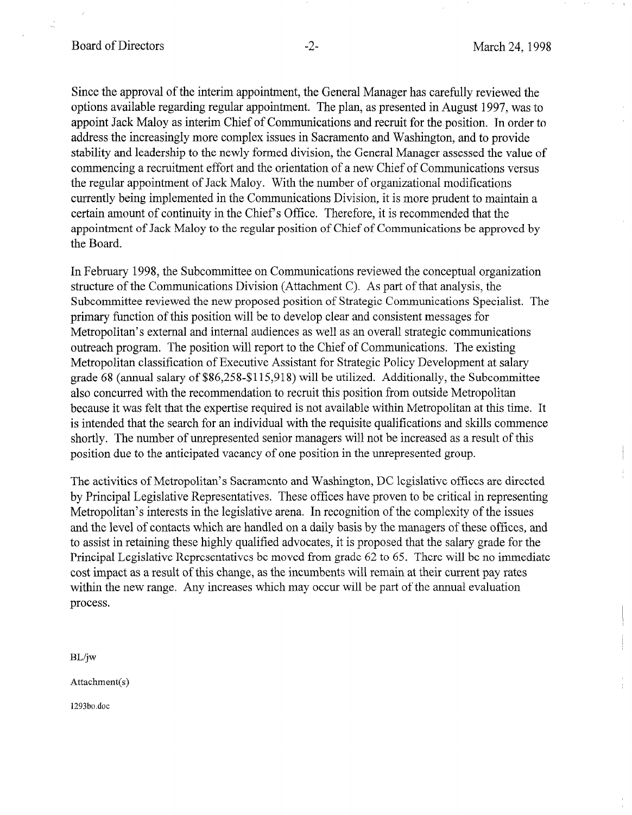Since the approval of the interim appointment, the General Manager has carefully reviewed the options available regarding regular appointment. The plan, as presented in August 1997, was to appoint Jack Maloy as interim Chief of Communications and recruit for the position. In order to address the increasingly more complex issues in Sacramento and Washington, and to provide stability and leadership to the newly formed division, the General Manager assessed the value of commencing a recruitment effort and the orientation of a new Chief of Communications versus the regular appointment of Jack Maloy. With the number of organizational modifications currently being implemented in the Communications Division, it is more prudent to maintain a certain amount of continuity in the Chief's Office. Therefore, it is recommended that the appointment of Jack Maloy to the regular position of Chief of Communications be approved by the Board.

In February 1998, the Subcommittee on Communications reviewed the conceptual organization structure of the Communications Division (Attachment C). As part of that analysis, the Subcommittee reviewed the new proposed position of Strategic Communications Specialist. The primary function of this position will be to develop clear and consistent messages for Metropolitan's external and internal audiences as well as an overall strategic communications outreach program. The position will report to the Chief of Communications. The existing Metropolitan classification of Executive Assistant for Strategic Policy Development at salary grade 68 (annual salary of \$86,258-\$115,918) will be utilized. Additionally, the Subcommittee also concurred with the recommendation to recruit this position from outside Metropolitan because it was felt that the expertise required is not available within Metropolitan at this time. It is intended that the search for an individual with the requisite qualifications and skills commence shortly. The number of unrepresented senior managers will not be increased as a result of this position due to the anticipated vacancy of one position in the unrepresented group.

The activities of ivien openion is bactamento and washington, DC registative offices are unceled by Principal Legislative Representatives. These offices have proven to be critical in representing Metropolitan's interests in the legislative arena. In recognition of the complexity of the issues and the level of contacts which are handled on a daily basis by the managers of these offices, and to assist in retaining these highly qualified advocates, it is proposed that the salary grade for the Principal Legislative Representatives be moved from grade 62 to 65. There will be no immediate cost impact as a result of this change, as the incumbents will remain at their current pay rates within the new range. Any increases which may occur will be part of the annual evaluation process.

 $BL/iw$ 

Attachment(s)

1293bo.doc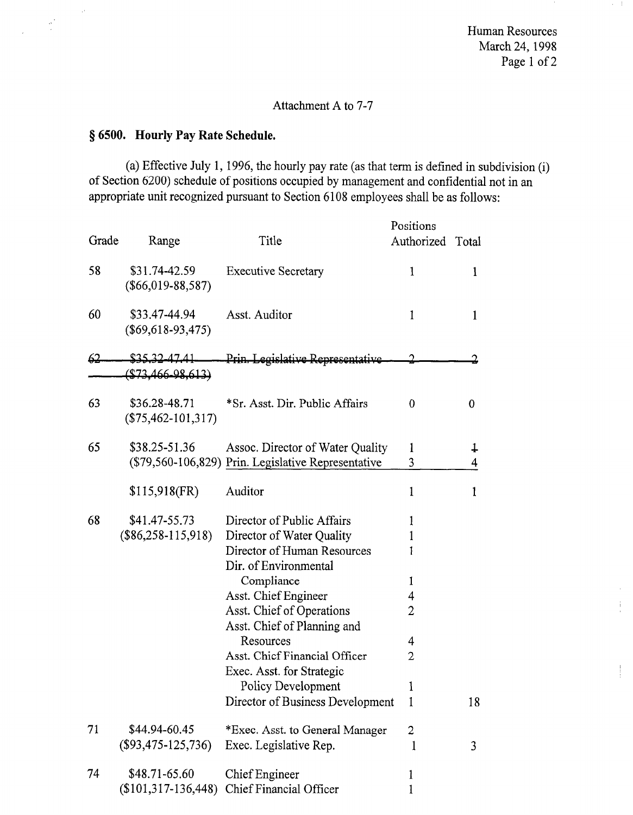Human Resources March 24, 1998 Page 1 of 2

 $\alpha\in\mathbb{R}^n$ 

ţ.

### Attachment A to 7-7

## 8 6500. Hourly Pay Rate Schedule.

 $\sim$ 

 $\frac{\partial \mathcal{L}}{\partial \mathcal{L}}$ 

(a) Effective July 1, 1996, the hourly pay rate (as that term is defined in subdivision (i) of Section 6200) schedule of positions occupied by management and confidential not in an appropriate unit recognized pursuant to Section 6108 employees shall be as follows:

| Grade | Range                                  | Title                                                                                                                                                                                                                                                                                                                                                  | Positions<br>Authorized Total                             |                 |
|-------|----------------------------------------|--------------------------------------------------------------------------------------------------------------------------------------------------------------------------------------------------------------------------------------------------------------------------------------------------------------------------------------------------------|-----------------------------------------------------------|-----------------|
| 58    | \$31.74-42.59<br>$(\$66,019-88,587)$   | <b>Executive Secretary</b>                                                                                                                                                                                                                                                                                                                             | 1                                                         | $\mathbf 1$     |
| 60    | \$33.47-44.94<br>$(\$69,618-93,475)$   | Asst. Auditor                                                                                                                                                                                                                                                                                                                                          | 1                                                         | 1               |
| 62    | <u>\$35.32-47.41</u>                   | Prin. Legislative Representative                                                                                                                                                                                                                                                                                                                       |                                                           |                 |
|       | $($73,466 - 98,613)$                   |                                                                                                                                                                                                                                                                                                                                                        |                                                           |                 |
| 63    | \$36.28-48.71<br>$(\$75,462-101,317)$  | *Sr. Asst. Dir. Public Affairs                                                                                                                                                                                                                                                                                                                         | 0                                                         | 0               |
| 65    | \$38.25-51.36                          | Assoc. Director of Water Quality<br>(\$79,560-106,829) Prin. Legislative Representative                                                                                                                                                                                                                                                                | 1<br>3                                                    | $\ddagger$<br>4 |
|       | $$115,918$ (FR)                        | Auditor                                                                                                                                                                                                                                                                                                                                                | $\mathbf 1$                                               | 1               |
| 68    | \$41.47-55.73<br>$(\$86,258-115,918)$  | Director of Public Affairs<br>Director of Water Quality<br>Director of Human Resources<br>Dir. of Environmental<br>Compliance<br>Asst. Chief Engineer<br>Asst. Chief of Operations<br>Asst. Chief of Planning and<br>Resources<br>Asst. Chief Financial Officer<br>Exec. Asst. for Strategic<br>Policy Development<br>Director of Business Development | 1<br>$\mathbf{1}$<br>1<br>1<br>4<br>2<br>4<br>2<br>1<br>1 | 18              |
| 71    | \$44.94-60.45<br>$($93,475-125,736)$   | *Exec. Asst. to General Manager<br>Exec. Legislative Rep.                                                                                                                                                                                                                                                                                              | 2<br>1                                                    | 3               |
| 74    | \$48.71-65.60<br>$(\$101,317-136,448)$ | Chief Engineer<br>Chief Financial Officer                                                                                                                                                                                                                                                                                                              | 1<br>1                                                    |                 |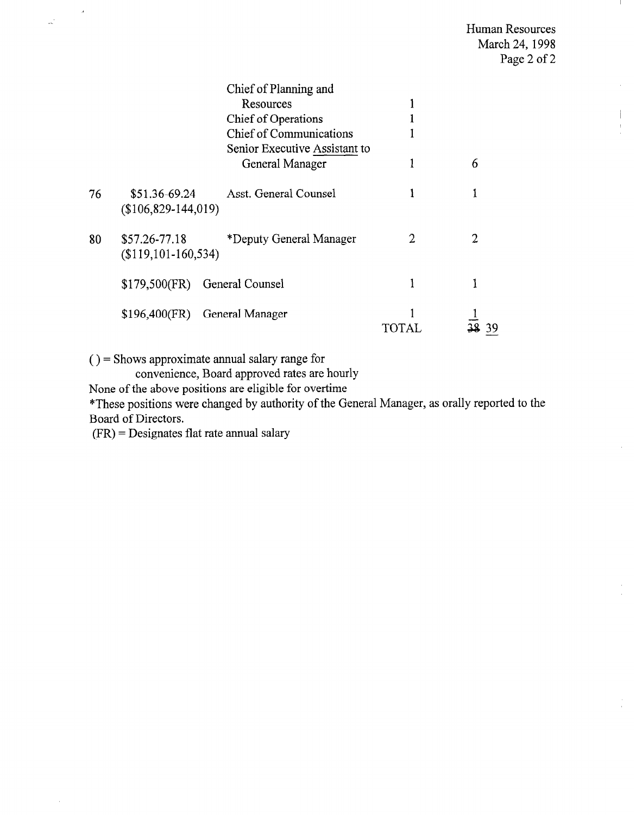## Human Resources March 24, 1998 Page 2 of 2

 $\bar{\Gamma}$ 

 $\hat{\boldsymbol{\beta}}$ 

|    |                      | Chief of Planning and          |   |    |
|----|----------------------|--------------------------------|---|----|
|    |                      | Resources                      |   |    |
|    |                      | <b>Chief of Operations</b>     |   |    |
|    |                      | <b>Chief of Communications</b> |   |    |
|    |                      | Senior Executive Assistant to  |   |    |
|    |                      | General Manager                |   | 6  |
| 76 | \$51.36-69.24        | Asst. General Counsel          |   |    |
|    | $($106,829-144,019)$ |                                |   |    |
| 80 | \$57.26-77.18        | *Deputy General Manager        | 2 | 2  |
|    | $($119,101-160,534)$ |                                |   |    |
|    | $$179,500$ (FR)      | General Counsel                |   |    |
|    | $$196,400$ (FR)      | General Manager                |   |    |
|    |                      |                                |   | 39 |

 $()$  = Shows approximate annual salary range for

convenience, Board approved rates are hourly

None of the above positions are eligible for overtime

\*These positions were changed by authority of the General Manager, as orally reported to the Board of Directors.

(FR) = Designates flat rate annual salary

 $\mathbf{R}$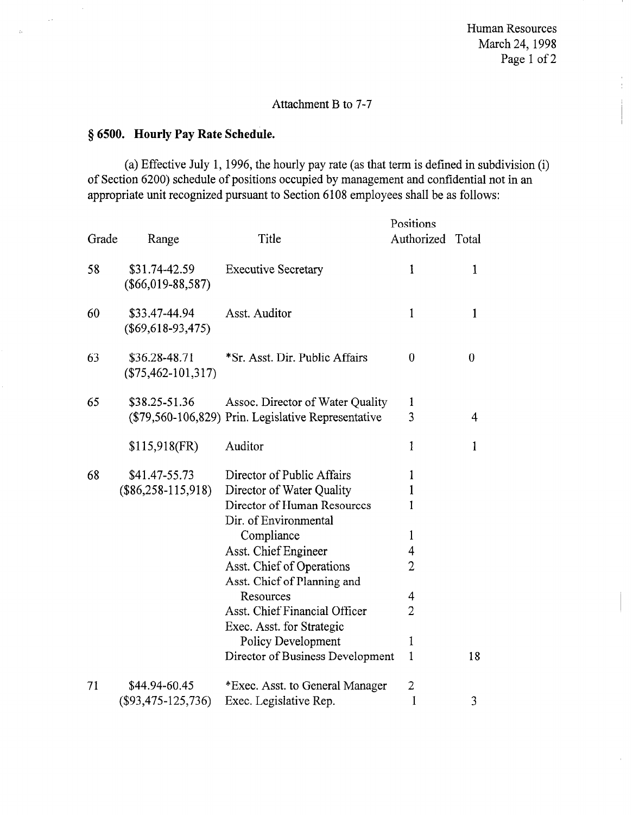Human Resources March 24,199s Page 1 of 2

 $\frac{1}{2}$ 

# Attachment B to 7-7

## 8 6500. Hourly Pay Rate Schedule.

 $\hat{\boldsymbol{\beta}}$ 

 $\varphi$   $\sigma$ 

ý.

(a) Effective July 1, 1996, the hourly pay rate (as that term is defined in subdivision (i) of Section 6200) schedule of positions occupied by management and confidential not in an appropriate unit recognized pursuant to Section 6108 employees shall be as follows:

| Grade | Range                                 | Title                                                    | Positions<br>Authorized | Total        |
|-------|---------------------------------------|----------------------------------------------------------|-------------------------|--------------|
| 58    | \$31.74-42.59<br>$(\$66,019-88,587)$  | <b>Executive Secretary</b>                               | $\mathbf{1}$            | 1            |
| 60    | \$33.47-44.94<br>$(\$69,618-93,475)$  | Asst. Auditor                                            | $\mathbf{1}$            | $\mathbf{1}$ |
| 63    | \$36.28-48.71<br>$(\$75,462-101,317)$ | *Sr. Asst. Dir. Public Affairs                           | 0                       | 0            |
| 65    | \$38.25-51.36                         | Assoc. Director of Water Quality                         | 1                       |              |
|       |                                       | (\$79,560-106,829) Prin. Legislative Representative      | 3                       | 4            |
|       | $$115,918$ (FR)                       | Auditor                                                  | 1                       | $\mathbf{1}$ |
| 68    | \$41.47-55.73                         | Director of Public Affairs                               | 1                       |              |
|       | $(\$86,258-115,918)$                  | Director of Water Quality                                | $\mathbf{1}$            |              |
|       |                                       | Director of Human Resources<br>Dir. of Environmental     | 1                       |              |
|       |                                       | Compliance                                               | $\mathbf{1}$            |              |
|       |                                       | Asst. Chief Engineer                                     | 4                       |              |
|       |                                       | Asst. Chief of Operations<br>Asst. Chief of Planning and | $\overline{2}$          |              |
|       |                                       | Resources                                                | 4                       |              |
|       |                                       | Asst. Chief Financial Officer                            | $\overline{2}$          |              |
|       |                                       | Exec. Asst. for Strategic                                |                         |              |
|       |                                       | Policy Development                                       | 1                       |              |
|       |                                       | Director of Business Development                         | $\mathbf{1}$            | 18           |
| 71    | \$44.94-60.45                         | *Exec. Asst. to General Manager                          | $\overline{2}$          |              |
|       | $($93,475-125,736)$                   | Exec. Legislative Rep.                                   | 1                       | 3            |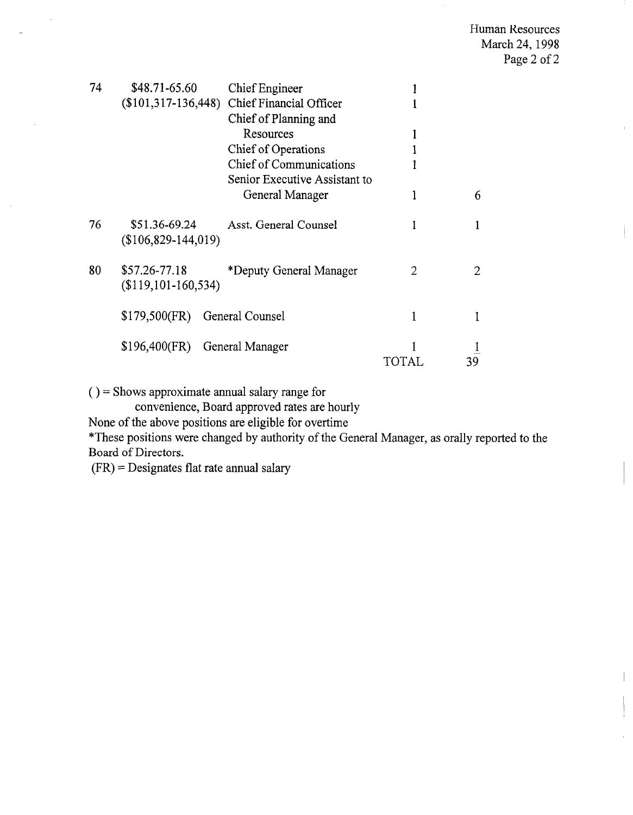| 74 | \$48.71-65.60                            | Chief Engineer<br>(\$101,317-136,448) Chief Financial Officer |       |   |
|----|------------------------------------------|---------------------------------------------------------------|-------|---|
|    |                                          | Chief of Planning and<br>Resources                            |       |   |
|    |                                          | Chief of Operations                                           |       |   |
|    |                                          | Chief of Communications                                       |       |   |
|    |                                          | Senior Executive Assistant to                                 |       |   |
|    |                                          | General Manager                                               | 1     | 6 |
| 76 | \$51.36-69.24<br>$($106,829-144,019)$    | Asst. General Counsel                                         | 1     |   |
| 80 | \$57.26-77.18<br>$(\$119, 101-160, 534)$ | *Deputy General Manager                                       | 2     | 2 |
|    | $$179,500$ (FR)                          | General Counsel                                               | 1     |   |
|    | $$196,400$ (FR)                          | General Manager                                               | TOTAL |   |

( ) = Shows approximate annual salary range for

convenience, Board approved rates are hourly

None of the above positions are eligible for overtime

\*These positions were changed by authority of the General Manager, as orally reported to the Board of Directors.

(FR) = Designates flat rate annual salary